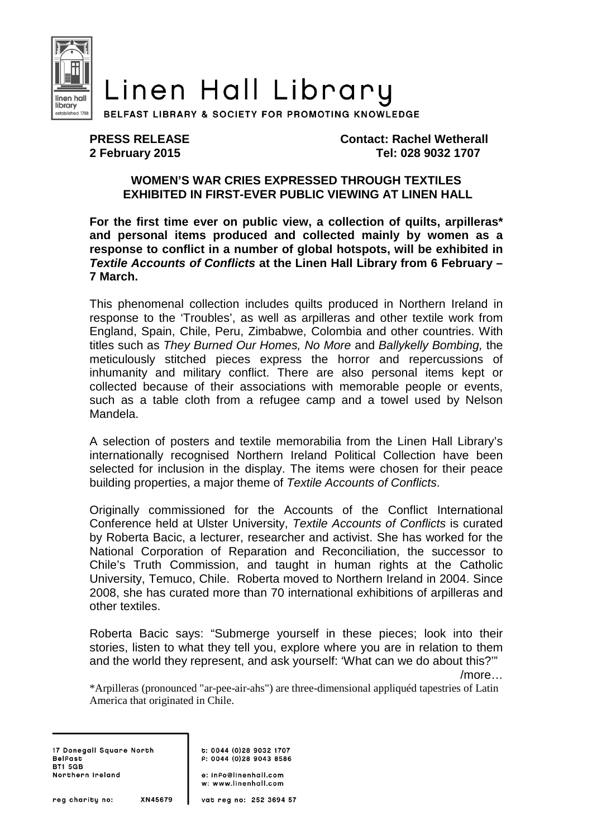

## Linen Hall Library

BELFAST LIBRARY & SOCIETY FOR PROMOTING KNOWLEDGE

**PRESS RELEASE Contact: Rachel Wetherall 2 February 2015 Tel: 028 9032 1707** 

## **WOMEN'S WAR CRIES EXPRESSED THROUGH TEXTILES EXHIBITED IN FIRST-EVER PUBLIC VIEWING AT LINEN HALL**

**For the first time ever on public view, a collection of quilts, arpilleras\* and personal items produced and collected mainly by women as a response to conflict in a number of global hotspots, will be exhibited in Textile Accounts of Conflicts at the Linen Hall Library from 6 February – 7 March.** 

This phenomenal collection includes quilts produced in Northern Ireland in response to the 'Troubles', as well as arpilleras and other textile work from England, Spain, Chile, Peru, Zimbabwe, Colombia and other countries. With titles such as They Burned Our Homes, No More and Ballykelly Bombing, the meticulously stitched pieces express the horror and repercussions of inhumanity and military conflict. There are also personal items kept or collected because of their associations with memorable people or events, such as a table cloth from a refugee camp and a towel used by Nelson Mandela.

A selection of posters and textile memorabilia from the Linen Hall Library's internationally recognised Northern Ireland Political Collection have been selected for inclusion in the display. The items were chosen for their peace building properties, a major theme of Textile Accounts of Conflicts.

Originally commissioned for the Accounts of the Conflict International Conference held at Ulster University, Textile Accounts of Conflicts is curated by Roberta Bacic, a lecturer, researcher and activist. She has worked for the National Corporation of Reparation and Reconciliation, the successor to Chile's Truth Commission, and taught in human rights at the Catholic University, Temuco, Chile. Roberta moved to Northern Ireland in 2004. Since 2008, she has curated more than 70 international exhibitions of arpilleras and other textiles.

Roberta Bacic says: "Submerge yourself in these pieces; look into their stories, listen to what they tell you, explore where you are in relation to them and the world they represent, and ask yourself: 'What can we do about this?'"

/more…

\*Arpilleras (pronounced "ar-pee-air-ahs") are three-dimensional appliquéd tapestries of Latin America that originated in Chile.

17 Donegall Square North **Belfast BT1 5GB** Northern Ireland

t: 0044 (0)28 9032 1707  $F: 0044 (0)2890438586$ 

e: info@linenhall.com w: www.linenhall.com